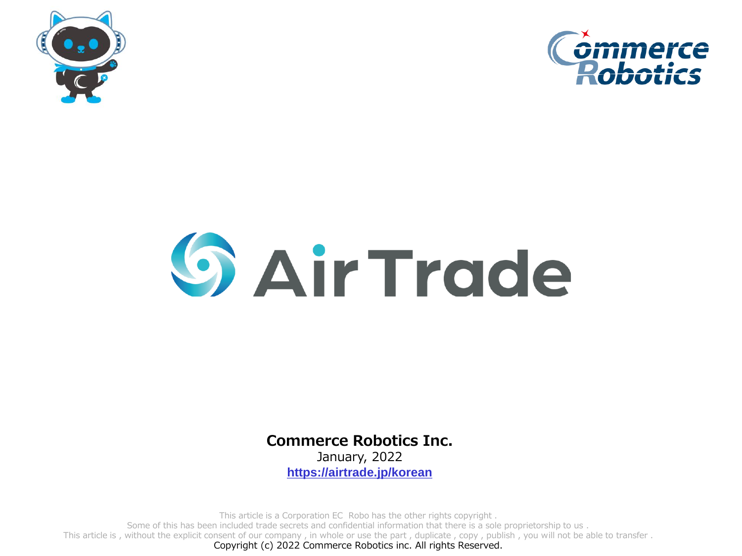



## **G** Air Trade

**Commerce Robotics Inc.**

January, 2022 **[https://airtrade.jp/korean](https://airtrade.jp/)**

This article is a Corporation EC Robo has the other rights copyright .

Some of this has been included trade secrets and confidential information that there is a sole proprietorship to us .

This article is , without the explicit consent of our company , in whole or use the part , duplicate , copy , publish , you will not be able to transfer .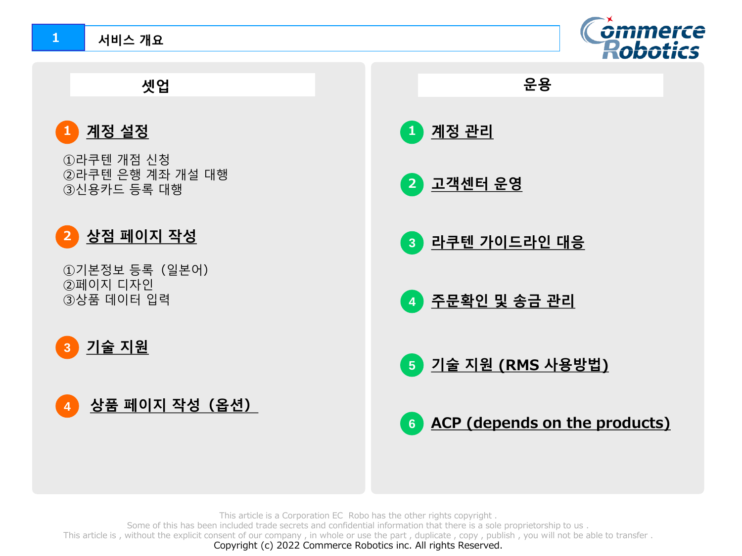## **서비스 개요**





This article is a Corporation EC Robo has the other rights copyright .

Some of this has been included trade secrets and confidential information that there is a sole proprietorship to us .

This article is, without the explicit consent of our company, in whole or use the part, duplicate, copy, publish, you will not be able to transfer.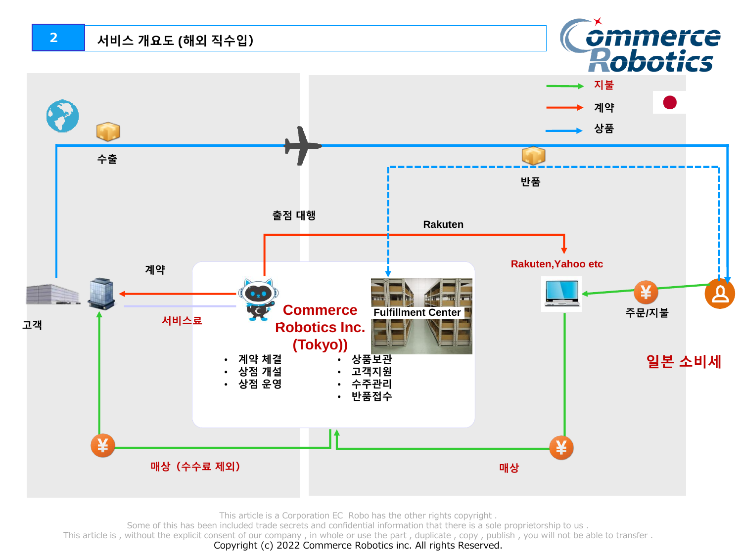

This article is a Corporation EC Robo has the other rights copyright .

Some of this has been included trade secrets and confidential information that there is a sole proprietorship to us .

This article is, without the explicit consent of our company, in whole or use the part, duplicate, copy, publish, you will not be able to transfer.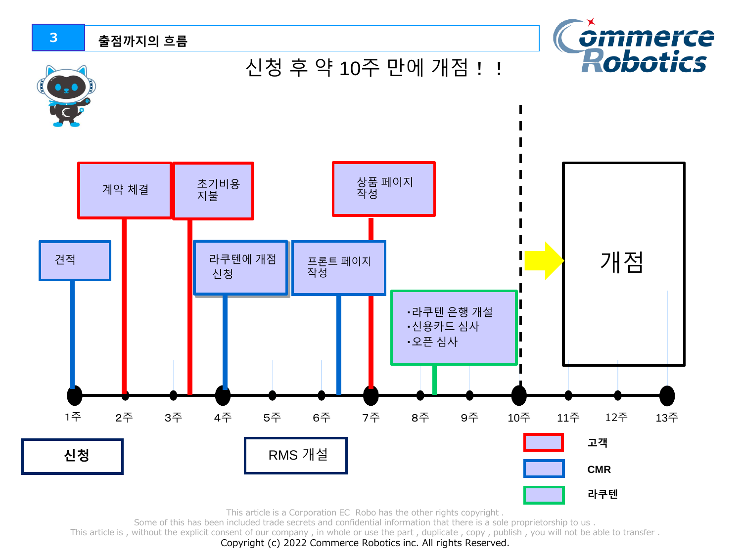

This article is a Corporation EC Robo has the other rights copyright .

Some of this has been included trade secrets and confidential information that there is a sole proprietorship to us .

This article is , without the explicit consent of our company , in whole or use the part , duplicate , copy , publish , you will not be able to transfer .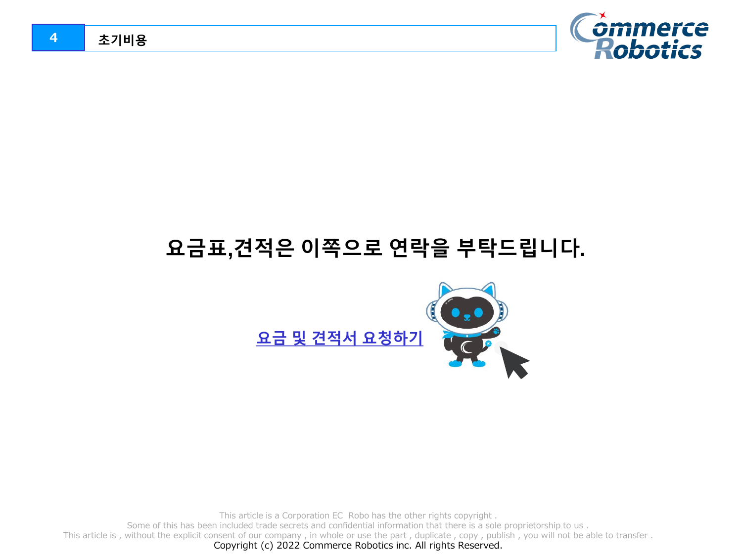

## **요금표,견적은 이쪽으로 연락을 부탁드립니다.**



This article is a Corporation EC Robo has the other rights copyright .

Some of this has been included trade secrets and confidential information that there is a sole proprietorship to us .

This article is, without the explicit consent of our company, in whole or use the part, duplicate, copy, publish, you will not be able to transfer.